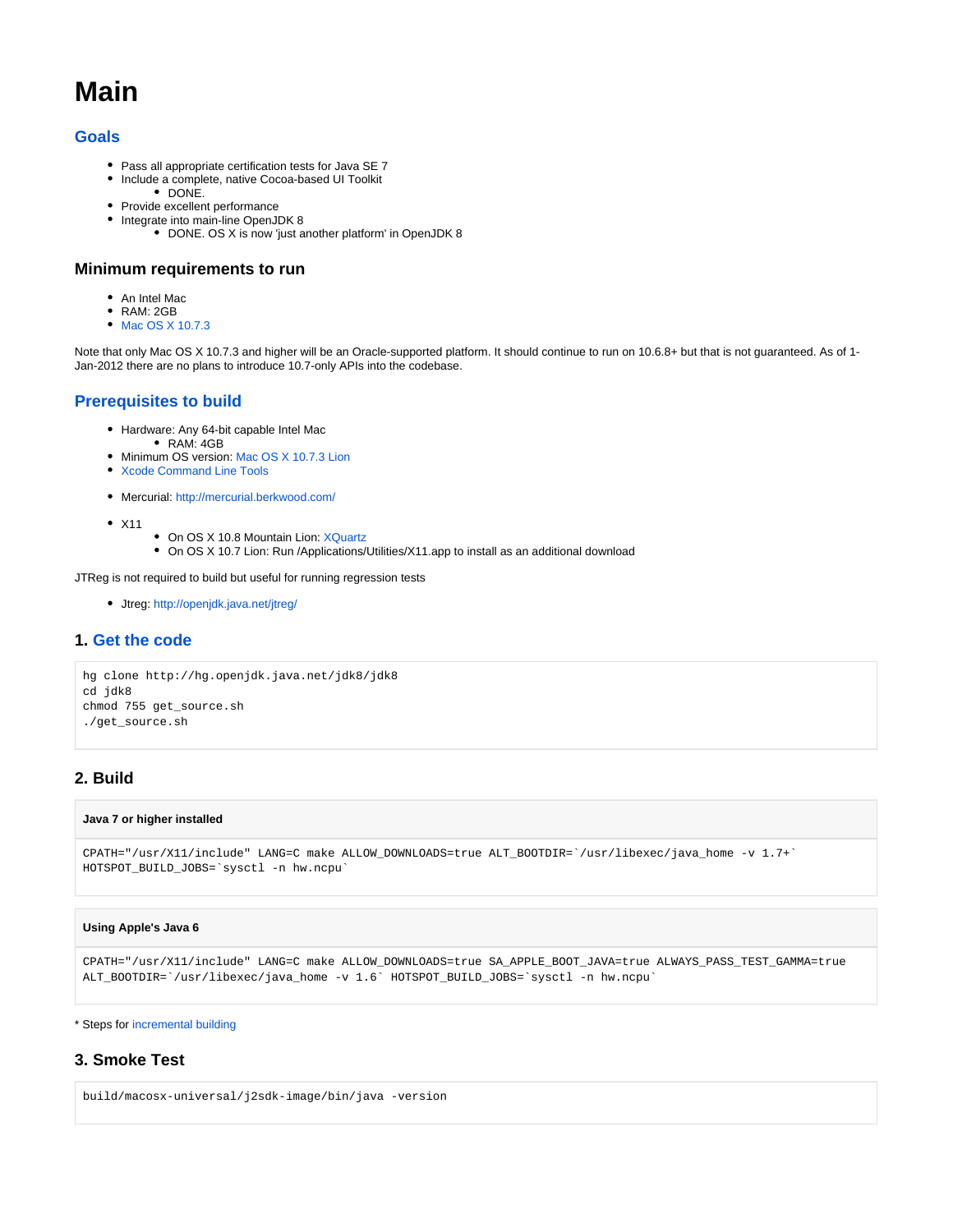# **Main**

## **[Goals](http://openjdk.java.net/projects/macosx-port/)**

- Pass all appropriate certification tests for Java SE 7
- Include a complete, native Cocoa-based UI Toolkit
	- DONE.
- Provide excellent performance • Integrate into main-line OpenJDK 8
	- DONE. OS X is now 'just another platform' in OpenJDK 8

#### **Minimum requirements to run**

- An Intel Mac
- $\bullet$ RAM: 2GB
- [Mac OS X 10.7.3](http://itunes.apple.com/us/app/os-x-lion/id444303913?mt=12)

Note that only Mac OS X 10.7.3 and higher will be an Oracle-supported platform. It should continue to run on 10.6.8+ but that is not guaranteed. As of 1-Jan-2012 there are no plans to introduce 10.7-only APIs into the codebase.

## **[Prerequisites to build](https://wiki.openjdk.org/display/MacOSXPort/Mac+OS+X+Port+Prerequisites)**

- Hardware: Any 64-bit capable Intel Mac
	- RAM: 4GB
- Minimum OS version: [Mac OS X 10.7.3 Lion](http://itunes.apple.com/us/app/os-x-lion/id444303913?mt=12)
- [Xcode Command Line Tools](https://developer.apple.com/downloads/index.action?name=Command%20Line%20Tools)
- Mercurial:<http://mercurial.berkwood.com/>
- $\bullet$  X11
- On OS X 10.8 Mountain Lion: [XQuartz](http://xquartz.macosforge.org/landing/)
- On OS X 10.7 Lion: Run /Applications/Utilities/X11.app to install as an additional download

JTReg is not required to build but useful for running regression tests

Jtreg: <http://openjdk.java.net/jtreg/>

#### **1. [Get the code](http://hg.openjdk.java.net/jdk7u/jdk7u-dev)**

```
hg clone http://hg.openjdk.java.net/jdk8/jdk8
cd jdk8
chmod 755 get_source.sh
./get_source.sh
```
## **2. Build**

#### **Java 7 or higher installed**

```
CPATH="/usr/X11/include" LANG=C make ALLOW_DOWNLOADS=true ALT_BOOTDIR=`/usr/libexec/java_home -v 1.7+` 
HOTSPOT_BUILD_JOBS=`sysctl -n hw.ncpu`
```
#### **Using Apple's Java 6**

```
CPATH="/usr/X11/include" LANG=C make ALLOW_DOWNLOADS=true SA_APPLE_BOOT_JAVA=true ALWAYS_PASS_TEST_GAMMA=true 
ALT_BOOTDIR=`/usr/libexec/java_home -v 1.6` HOTSPOT_BUILD_JOBS=`sysctl -n hw.ncpu`
```
#### \* Steps for [incremental building](https://wiki.openjdk.org/display/MacOSXPort/Incremental+Building)

#### **3. Smoke Test**

build/macosx-universal/j2sdk-image/bin/java -version